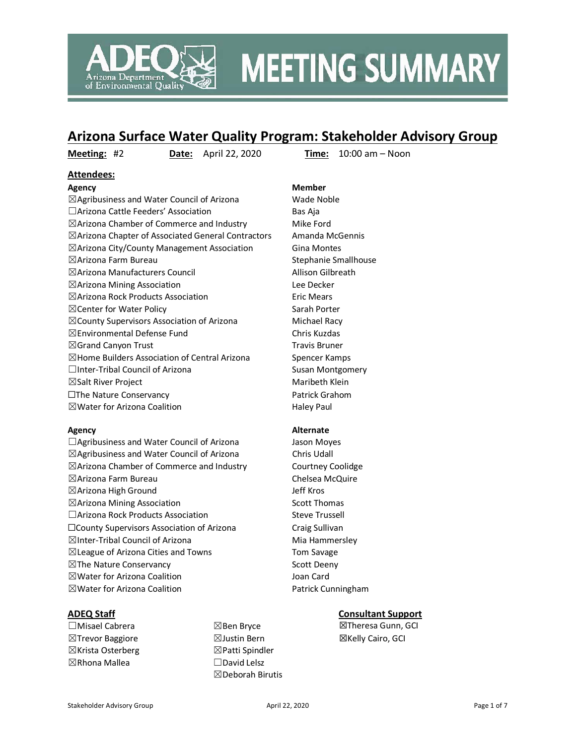

# **MEETING SUMMARY**

# **Arizona Surface Water Quality Program: Stakeholder Advisory Group**

**Meeting:** #2 **Date:** April 22, 2020 **Time:** 10:00 am – Noon

### **Attendees:**

#### **Agency Member**

 $\boxtimes$ Agribusiness and Water Council of Arizona Wade Noble □Arizona Cattle Feeders' Association Bas Aja  $\boxtimes$ Arizona Chamber of Commerce and Industry Mike Ford ☒Arizona Chapter of Associated General Contractors Amanda McGennis ☒Arizona City/County Management Association Gina Montes ☒Arizona Farm Bureau Stephanie Smallhouse ☒Arizona Manufacturers Council Allison Gilbreath ☒Arizona Mining Association Lee Decker  $\boxtimes$ Arizona Rock Products Association Eric Mears ⊠ Center for Water Policy Sarah Porter ☒County Supervisors Association of Arizona Michael Racy ☒Environmental Defense Fund Chris Kuzdas  $\boxtimes$ Grand Canyon Trust Travis Bruner  $\boxtimes$  Home Builders Association of Central Arizona Spencer Kamps  $\Box$ Inter-Tribal Council of Arizona Susan Montgomery ☒Salt River Project Maribeth Klein ☐The Nature Conservancy Patrick Grahom  $\boxtimes$  Water for Arizona Coalition  $\Box$  Haley Paul

□Agribusiness and Water Council of Arizona Jason Moyes ☒Agribusiness and Water Council of Arizona Chris Udall ☒Arizona Chamber of Commerce and Industry Courtney Coolidge ☒Arizona Farm Bureau Chelsea McQuire ☒Arizona High Ground Jeff Kros  $\boxtimes$ Arizona Mining Association Scott Thomas □Arizona Rock Products Association Steve Trussell ☐County Supervisors Association of Arizona Craig Sullivan  $\boxtimes$ Inter-Tribal Council of Arizona Mia Hammersley ☒League of Arizona Cities and Towns Tom Savage  $\boxtimes$ The Nature Conservancy  $\boxtimes$ The Nature Conservancy ☒Water for Arizona Coalition Joan Card ⊠Water for Arizona Coalition **Patrick Cunningham** 

- ☐Misael Cabrera ☒Trevor Baggiore ☒Krista Osterberg ☒Rhona Mallea
- ☒Ben Bryce  $\boxtimes$  Justin Bern ☒Patti Spindler ☐David Lelsz ☒Deborah Birutis

#### **Agency Alternate**

#### **ADEQ Staff Consultant Support**

☒Theresa Gunn, GCI ☒Kelly Cairo, GCI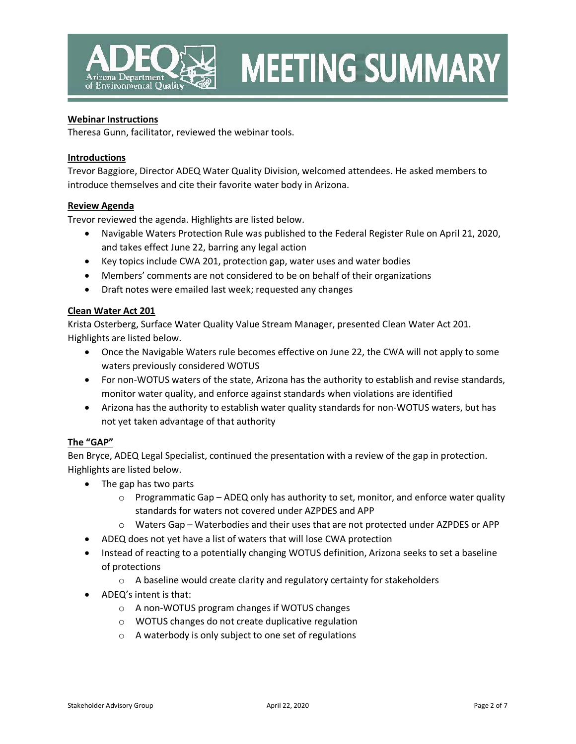

# **MEETING SUMMARY**

#### **Webinar Instructions**

Theresa Gunn, facilitator, reviewed the webinar tools.

#### **Introductions**

Trevor Baggiore, Director ADEQ Water Quality Division, welcomed attendees. He asked members to introduce themselves and cite their favorite water body in Arizona.

#### **Review Agenda**

Trevor reviewed the agenda. Highlights are listed below.

- Navigable Waters Protection Rule was published to the Federal Register Rule on April 21, 2020, and takes effect June 22, barring any legal action
- Key topics include CWA 201, protection gap, water uses and water bodies
- Members' comments are not considered to be on behalf of their organizations
- Draft notes were emailed last week; requested any changes

#### **Clean Water Act 201**

Krista Osterberg, Surface Water Quality Value Stream Manager, presented Clean Water Act 201. Highlights are listed below.

- Once the Navigable Waters rule becomes effective on June 22, the CWA will not apply to some waters previously considered WOTUS
- For non-WOTUS waters of the state, Arizona has the authority to establish and revise standards, monitor water quality, and enforce against standards when violations are identified
- Arizona has the authority to establish water quality standards for non-WOTUS waters, but has not yet taken advantage of that authority

#### **The "GAP"**

Ben Bryce, ADEQ Legal Specialist, continued the presentation with a review of the gap in protection. Highlights are listed below.

- The gap has two parts
	- $\circ$  Programmatic Gap ADEQ only has authority to set, monitor, and enforce water quality standards for waters not covered under AZPDES and APP
	- $\circ$  Waters Gap Waterbodies and their uses that are not protected under AZPDES or APP
- ADEQ does not yet have a list of waters that will lose CWA protection
- Instead of reacting to a potentially changing WOTUS definition, Arizona seeks to set a baseline of protections
	- $\circ$  A baseline would create clarity and regulatory certainty for stakeholders
- ADEQ's intent is that:
	- o A non-WOTUS program changes if WOTUS changes
	- o WOTUS changes do not create duplicative regulation
	- o A waterbody is only subject to one set of regulations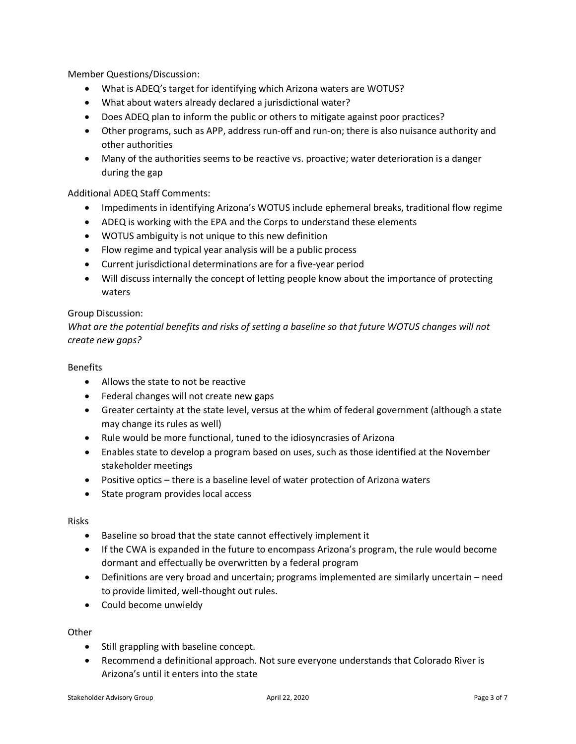Member Questions/Discussion:

- What is ADEQ's target for identifying which Arizona waters are WOTUS?
- What about waters already declared a jurisdictional water?
- Does ADEQ plan to inform the public or others to mitigate against poor practices?
- Other programs, such as APP, address run-off and run-on; there is also nuisance authority and other authorities
- Many of the authorities seems to be reactive vs. proactive; water deterioration is a danger during the gap

## Additional ADEQ Staff Comments:

- Impediments in identifying Arizona's WOTUS include ephemeral breaks, traditional flow regime
- ADEQ is working with the EPA and the Corps to understand these elements
- WOTUS ambiguity is not unique to this new definition
- Flow regime and typical year analysis will be a public process
- Current jurisdictional determinations are for a five-year period
- Will discuss internally the concept of letting people know about the importance of protecting waters

#### Group Discussion:

*What are the potential benefits and risks of setting a baseline so that future WOTUS changes will not create new gaps?*

#### Benefits

- Allows the state to not be reactive
- Federal changes will not create new gaps
- Greater certainty at the state level, versus at the whim of federal government (although a state may change its rules as well)
- Rule would be more functional, tuned to the idiosyncrasies of Arizona
- Enables state to develop a program based on uses, such as those identified at the November stakeholder meetings
- Positive optics there is a baseline level of water protection of Arizona waters
- State program provides local access

#### Risks

- Baseline so broad that the state cannot effectively implement it
- If the CWA is expanded in the future to encompass Arizona's program, the rule would become dormant and effectually be overwritten by a federal program
- Definitions are very broad and uncertain; programs implemented are similarly uncertain need to provide limited, well-thought out rules.
- Could become unwieldy

#### **Other**

- Still grappling with baseline concept.
- Recommend a definitional approach. Not sure everyone understands that Colorado River is Arizona's until it enters into the state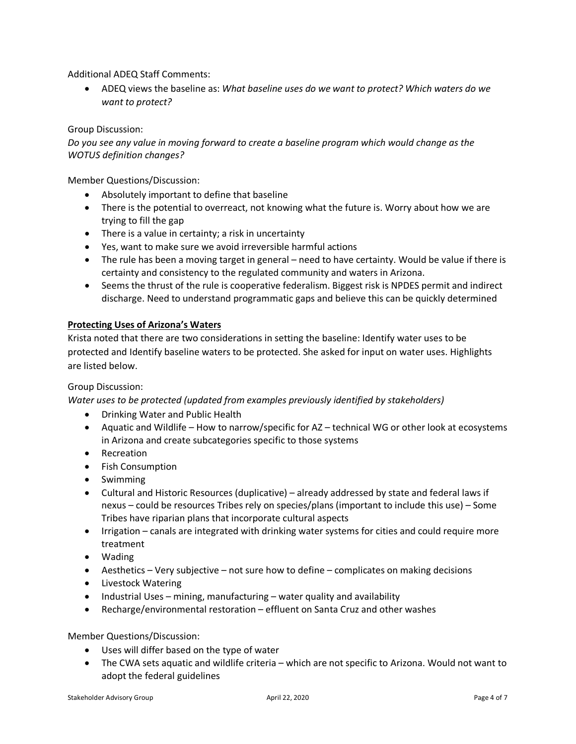Additional ADEQ Staff Comments:

• ADEQ views the baseline as: *What baseline uses do we want to protect? Which waters do we want to protect?*

### Group Discussion:

*Do you see any value in moving forward to create a baseline program which would change as the WOTUS definition changes?*

Member Questions/Discussion:

- Absolutely important to define that baseline
- There is the potential to overreact, not knowing what the future is. Worry about how we are trying to fill the gap
- There is a value in certainty; a risk in uncertainty
- Yes, want to make sure we avoid irreversible harmful actions
- The rule has been a moving target in general need to have certainty. Would be value if there is certainty and consistency to the regulated community and waters in Arizona.
- Seems the thrust of the rule is cooperative federalism. Biggest risk is NPDES permit and indirect discharge. Need to understand programmatic gaps and believe this can be quickly determined

#### **Protecting Uses of Arizona's Waters**

Krista noted that there are two considerations in setting the baseline: Identify water uses to be protected and Identify baseline waters to be protected. She asked for input on water uses. Highlights are listed below.

#### Group Discussion:

*Water uses to be protected (updated from examples previously identified by stakeholders)*

- Drinking Water and Public Health
- Aquatic and Wildlife How to narrow/specific for AZ technical WG or other look at ecosystems in Arizona and create subcategories specific to those systems
- Recreation
- Fish Consumption
- Swimming
- Cultural and Historic Resources (duplicative) already addressed by state and federal laws if nexus – could be resources Tribes rely on species/plans (important to include this use) – Some Tribes have riparian plans that incorporate cultural aspects
- Irrigation canals are integrated with drinking water systems for cities and could require more treatment
- Wading
- Aesthetics Very subjective not sure how to define complicates on making decisions
- Livestock Watering
- Industrial Uses mining, manufacturing water quality and availability
- Recharge/environmental restoration effluent on Santa Cruz and other washes

Member Questions/Discussion:

- Uses will differ based on the type of water
- The CWA sets aquatic and wildlife criteria which are not specific to Arizona. Would not want to adopt the federal guidelines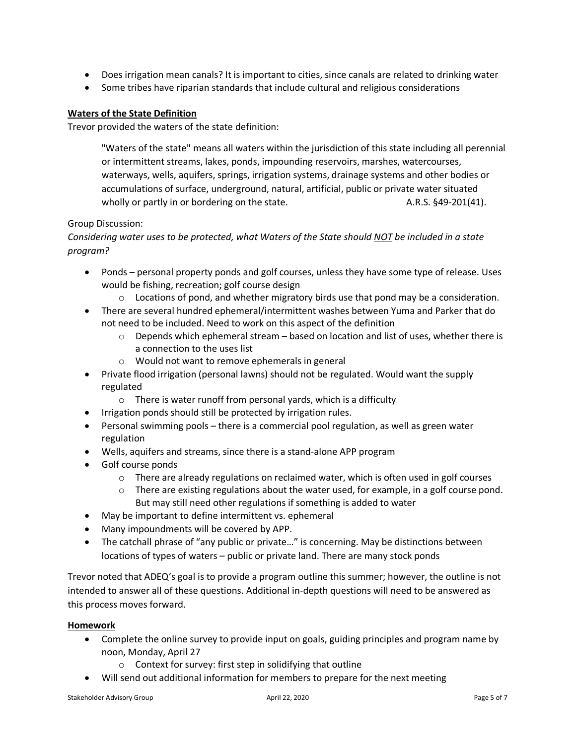- Does irrigation mean canals? It is important to cities, since canals are related to drinking water
- Some tribes have riparian standards that include cultural and religious considerations

#### **Waters of the State Definition**

Trevor provided the waters of the state definition:

"Waters of the state" means all waters within the jurisdiction of this state including all perennial or intermittent streams, lakes, ponds, impounding reservoirs, marshes, watercourses, waterways, wells, aquifers, springs, irrigation systems, drainage systems and other bodies or accumulations of surface, underground, natural, artificial, public or private water situated wholly or partly in or bordering on the state. A.R.S. §49-201(41).

#### Group Discussion:

## *Considering water uses to be protected, what Waters of the State should NOT be included in a state program?*

- Ponds personal property ponds and golf courses, unless they have some type of release. Uses would be fishing, recreation; golf course design
	- $\circ$  Locations of pond, and whether migratory birds use that pond may be a consideration.
- There are several hundred ephemeral/intermittent washes between Yuma and Parker that do not need to be included. Need to work on this aspect of the definition
	- $\circ$  Depends which ephemeral stream based on location and list of uses, whether there is a connection to the uses list
	- o Would not want to remove ephemerals in general
- Private flood irrigation (personal lawns) should not be regulated. Would want the supply regulated
	- $\circ$  There is water runoff from personal yards, which is a difficulty
- Irrigation ponds should still be protected by irrigation rules.
- Personal swimming pools there is a commercial pool regulation, as well as green water regulation
- Wells, aquifers and streams, since there is a stand-alone APP program
- Golf course ponds
	- $\circ$  There are already regulations on reclaimed water, which is often used in golf courses
	- $\circ$  There are existing regulations about the water used, for example, in a golf course pond. But may still need other regulations if something is added to water
- May be important to define intermittent vs. ephemeral
- Many impoundments will be covered by APP.
- The catchall phrase of "any public or private..." is concerning. May be distinctions between locations of types of waters – public or private land. There are many stock ponds

Trevor noted that ADEQ's goal is to provide a program outline this summer; however, the outline is not intended to answer all of these questions. Additional in-depth questions will need to be answered as this process moves forward.

#### **Homework**

- Complete the online survey to provide input on goals, guiding principles and program name by noon, Monday, April 27
	- o Context for survey: first step in solidifying that outline
- Will send out additional information for members to prepare for the next meeting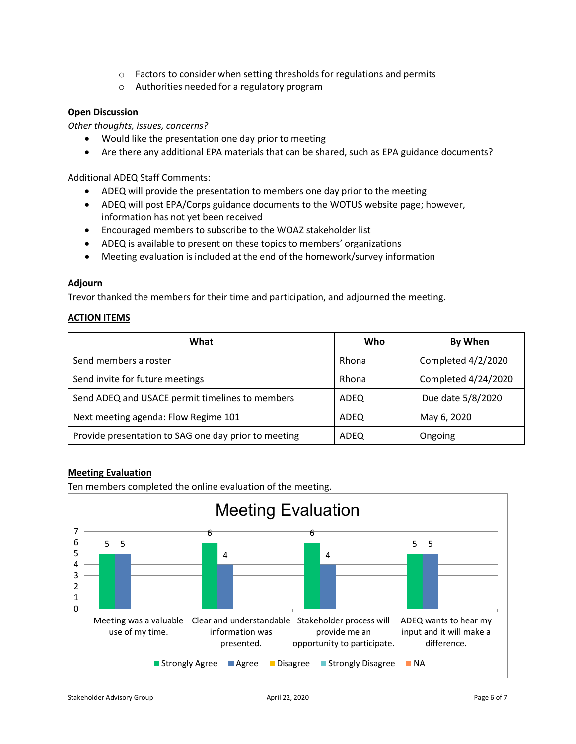- o Factors to consider when setting thresholds for regulations and permits
- o Authorities needed for a regulatory program

#### **Open Discussion**

*Other thoughts, issues, concerns?*

- Would like the presentation one day prior to meeting
- Are there any additional EPA materials that can be shared, such as EPA guidance documents?

Additional ADEQ Staff Comments:

- ADEQ will provide the presentation to members one day prior to the meeting
- ADEQ will post EPA/Corps guidance documents to the WOTUS website page; however, information has not yet been received
- Encouraged members to subscribe to the WOAZ stakeholder list
- ADEQ is available to present on these topics to members' organizations
- Meeting evaluation is included at the end of the homework/survey information

#### **Adjourn**

Trevor thanked the members for their time and participation, and adjourned the meeting.

#### **ACTION ITEMS**

| What                                                 | Who   | By When             |
|------------------------------------------------------|-------|---------------------|
| Send members a roster                                | Rhona | Completed 4/2/2020  |
| Send invite for future meetings                      | Rhona | Completed 4/24/2020 |
| Send ADEQ and USACE permit timelines to members      | ADEQ  | Due date 5/8/2020   |
| Next meeting agenda: Flow Regime 101                 | ADEQ  | May 6, 2020         |
| Provide presentation to SAG one day prior to meeting | ADEQ  | Ongoing             |

#### **Meeting Evaluation**

Ten members completed the online evaluation of the meeting.